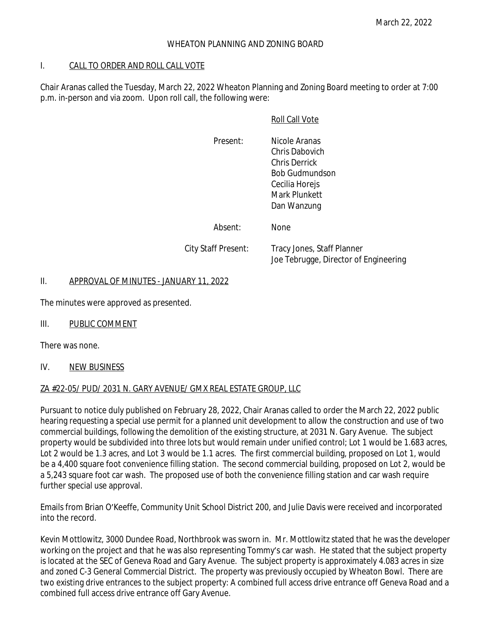## WHEATON PLANNING AND ZONING BOARD

#### I. CALL TO ORDER AND ROLL CALL VOTE

Chair Aranas called the Tuesday, March 22, 2022 Wheaton Planning and Zoning Board meeting to order at 7:00 p.m. in-person and via zoom. Upon roll call, the following were:

## Roll Call Vote

Present: Nicole Aranas Chris Dabovich Chris Derrick Bob Gudmundson Cecilia Horejs Mark Plunkett Dan Wanzung

Absent: None

City Staff Present: Tracy Jones, Staff Planner

Joe Tebrugge, Director of Engineering

#### II. APPROVAL OF MINUTES - JANUARY 11, 2022

The minutes were approved as presented.

# III. PUBLIC COMMENT

There was none.

#### IV. NEW BUSINESS

#### ZA #22-05/ PUD/ 2031 N. GARY AVENUE/ GMX REAL ESTATE GROUP, LLC

Pursuant to notice duly published on February 28, 2022, Chair Aranas called to order the March 22, 2022 public hearing requesting a special use permit for a planned unit development to allow the construction and use of two commercial buildings, following the demolition of the existing structure, at 2031 N. Gary Avenue. The subject property would be subdivided into three lots but would remain under unified control; Lot 1 would be 1.683 acres, Lot 2 would be 1.3 acres, and Lot 3 would be 1.1 acres. The first commercial building, proposed on Lot 1, would be a 4,400 square foot convenience filling station. The second commercial building, proposed on Lot 2, would be a 5,243 square foot car wash. The proposed use of both the convenience filling station and car wash require further special use approval.

Emails from Brian O'Keeffe, Community Unit School District 200, and Julie Davis were received and incorporated into the record.

Kevin Mottlowitz, 3000 Dundee Road, Northbrook was sworn in. Mr. Mottlowitz stated that he was the developer working on the project and that he was also representing Tommy's car wash. He stated that the subject property is located at the SEC of Geneva Road and Gary Avenue. The subject property is approximately 4.083 acres in size and zoned C-3 General Commercial District. The property was previously occupied by Wheaton Bowl. There are two existing drive entrances to the subject property: A combined full access drive entrance off Geneva Road and a combined full access drive entrance off Gary Avenue.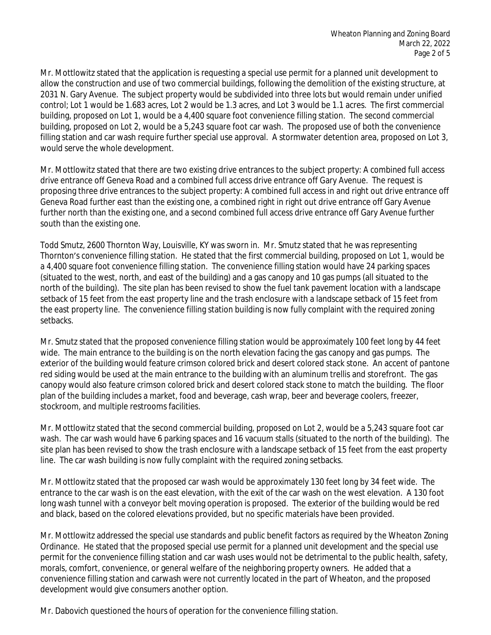Mr. Mottlowitz stated that the application is requesting a special use permit for a planned unit development to allow the construction and use of two commercial buildings, following the demolition of the existing structure, at 2031 N. Gary Avenue. The subject property would be subdivided into three lots but would remain under unified control; Lot 1 would be 1.683 acres, Lot 2 would be 1.3 acres, and Lot 3 would be 1.1 acres. The first commercial building, proposed on Lot 1, would be a 4,400 square foot convenience filling station. The second commercial building, proposed on Lot 2, would be a 5,243 square foot car wash. The proposed use of both the convenience filling station and car wash require further special use approval. A stormwater detention area, proposed on Lot 3, would serve the whole development.

Mr. Mottlowitz stated that there are two existing drive entrances to the subject property: A combined full access drive entrance off Geneva Road and a combined full access drive entrance off Gary Avenue. The request is proposing three drive entrances to the subject property: A combined full access in and right out drive entrance off Geneva Road further east than the existing one, a combined right in right out drive entrance off Gary Avenue further north than the existing one, and a second combined full access drive entrance off Gary Avenue further south than the existing one.

Todd Smutz, 2600 Thornton Way, Louisville, KY was sworn in. Mr. Smutz stated that he was representing Thornton's convenience filling station. He stated that the first commercial building, proposed on Lot 1, would be a 4,400 square foot convenience filling station. The convenience filling station would have 24 parking spaces (situated to the west, north, and east of the building) and a gas canopy and 10 gas pumps (all situated to the north of the building). The site plan has been revised to show the fuel tank pavement location with a landscape setback of 15 feet from the east property line and the trash enclosure with a landscape setback of 15 feet from the east property line. The convenience filling station building is now fully complaint with the required zoning setbacks.

Mr. Smutz stated that the proposed convenience filling station would be approximately 100 feet long by 44 feet wide. The main entrance to the building is on the north elevation facing the gas canopy and gas pumps. The exterior of the building would feature crimson colored brick and desert colored stack stone. An accent of pantone red siding would be used at the main entrance to the building with an aluminum trellis and storefront. The gas canopy would also feature crimson colored brick and desert colored stack stone to match the building. The floor plan of the building includes a market, food and beverage, cash wrap, beer and beverage coolers, freezer, stockroom, and multiple restrooms facilities.

Mr. Mottlowitz stated that the second commercial building, proposed on Lot 2, would be a 5,243 square foot car wash. The car wash would have 6 parking spaces and 16 vacuum stalls (situated to the north of the building). The site plan has been revised to show the trash enclosure with a landscape setback of 15 feet from the east property line. The car wash building is now fully complaint with the required zoning setbacks.

Mr. Mottlowitz stated that the proposed car wash would be approximately 130 feet long by 34 feet wide. The entrance to the car wash is on the east elevation, with the exit of the car wash on the west elevation. A 130 foot long wash tunnel with a conveyor belt moving operation is proposed. The exterior of the building would be red and black, based on the colored elevations provided, but no specific materials have been provided.

Mr. Mottlowitz addressed the special use standards and public benefit factors as required by the Wheaton Zoning Ordinance. He stated that the proposed special use permit for a planned unit development and the special use permit for the convenience filling station and car wash uses would not be detrimental to the public health, safety, morals, comfort, convenience, or general welfare of the neighboring property owners. He added that a convenience filling station and carwash were not currently located in the part of Wheaton, and the proposed development would give consumers another option.

Mr. Dabovich questioned the hours of operation for the convenience filling station.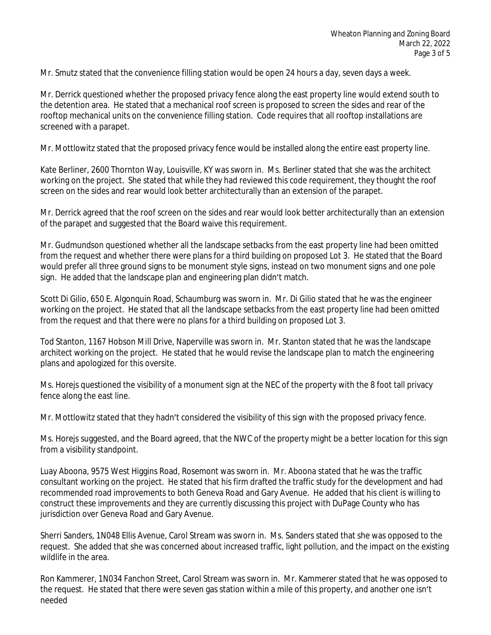Mr. Smutz stated that the convenience filling station would be open 24 hours a day, seven days a week.

Mr. Derrick questioned whether the proposed privacy fence along the east property line would extend south to the detention area. He stated that a mechanical roof screen is proposed to screen the sides and rear of the rooftop mechanical units on the convenience filling station. Code requires that all rooftop installations are screened with a parapet.

Mr. Mottlowitz stated that the proposed privacy fence would be installed along the entire east property line.

Kate Berliner, 2600 Thornton Way, Louisville, KY was sworn in. Ms. Berliner stated that she was the architect working on the project. She stated that while they had reviewed this code requirement, they thought the roof screen on the sides and rear would look better architecturally than an extension of the parapet.

Mr. Derrick agreed that the roof screen on the sides and rear would look better architecturally than an extension of the parapet and suggested that the Board waive this requirement.

Mr. Gudmundson questioned whether all the landscape setbacks from the east property line had been omitted from the request and whether there were plans for a third building on proposed Lot 3. He stated that the Board would prefer all three ground signs to be monument style signs, instead on two monument signs and one pole sign. He added that the landscape plan and engineering plan didn't match.

Scott Di Gilio, 650 E. Algonquin Road, Schaumburg was sworn in. Mr. Di Gilio stated that he was the engineer working on the project. He stated that all the landscape setbacks from the east property line had been omitted from the request and that there were no plans for a third building on proposed Lot 3.

Tod Stanton, 1167 Hobson Mill Drive, Naperville was sworn in. Mr. Stanton stated that he was the landscape architect working on the project. He stated that he would revise the landscape plan to match the engineering plans and apologized for this oversite.

Ms. Horejs questioned the visibility of a monument sign at the NEC of the property with the 8 foot tall privacy fence along the east line.

Mr. Mottlowitz stated that they hadn't considered the visibility of this sign with the proposed privacy fence.

Ms. Horejs suggested, and the Board agreed, that the NWC of the property might be a better location for this sign from a visibility standpoint.

Luay Aboona, 9575 West Higgins Road, Rosemont was sworn in. Mr. Aboona stated that he was the traffic consultant working on the project. He stated that his firm drafted the traffic study for the development and had recommended road improvements to both Geneva Road and Gary Avenue. He added that his client is willing to construct these improvements and they are currently discussing this project with DuPage County who has jurisdiction over Geneva Road and Gary Avenue.

Sherri Sanders, 1N048 Ellis Avenue, Carol Stream was sworn in. Ms. Sanders stated that she was opposed to the request. She added that she was concerned about increased traffic, light pollution, and the impact on the existing wildlife in the area.

Ron Kammerer, 1N034 Fanchon Street, Carol Stream was sworn in. Mr. Kammerer stated that he was opposed to the request. He stated that there were seven gas station within a mile of this property, and another one isn't needed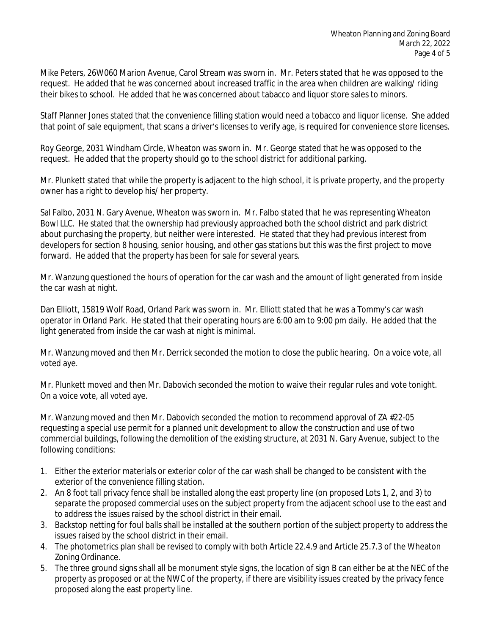Mike Peters, 26W060 Marion Avenue, Carol Stream was sworn in. Mr. Peters stated that he was opposed to the request. He added that he was concerned about increased traffic in the area when children are walking/ riding their bikes to school. He added that he was concerned about tabacco and liquor store sales to minors.

Staff Planner Jones stated that the convenience filling station would need a tobacco and liquor license. She added that point of sale equipment, that scans a driver's licenses to verify age, is required for convenience store licenses.

Roy George, 2031 Windham Circle, Wheaton was sworn in. Mr. George stated that he was opposed to the request. He added that the property should go to the school district for additional parking.

Mr. Plunkett stated that while the property is adjacent to the high school, it is private property, and the property owner has a right to develop his/ her property.

Sal Falbo, 2031 N. Gary Avenue, Wheaton was sworn in. Mr. Falbo stated that he was representing Wheaton Bowl LLC. He stated that the ownership had previously approached both the school district and park district about purchasing the property, but neither were interested. He stated that they had previous interest from developers for section 8 housing, senior housing, and other gas stations but this was the first project to move forward. He added that the property has been for sale for several years.

Mr. Wanzung questioned the hours of operation for the car wash and the amount of light generated from inside the car wash at night.

Dan Elliott, 15819 Wolf Road, Orland Park was sworn in. Mr. Elliott stated that he was a Tommy's car wash operator in Orland Park. He stated that their operating hours are 6:00 am to 9:00 pm daily. He added that the light generated from inside the car wash at night is minimal.

Mr. Wanzung moved and then Mr. Derrick seconded the motion to close the public hearing. On a voice vote, all voted aye.

Mr. Plunkett moved and then Mr. Dabovich seconded the motion to waive their regular rules and vote tonight. On a voice vote, all voted aye.

Mr. Wanzung moved and then Mr. Dabovich seconded the motion to recommend approval of ZA #22-05 requesting a special use permit for a planned unit development to allow the construction and use of two commercial buildings, following the demolition of the existing structure, at 2031 N. Gary Avenue, subject to the following conditions:

- 1. Either the exterior materials or exterior color of the car wash shall be changed to be consistent with the exterior of the convenience filling station.
- 2. An 8 foot tall privacy fence shall be installed along the east property line (on proposed Lots 1, 2, and 3) to separate the proposed commercial uses on the subject property from the adjacent school use to the east and to address the issues raised by the school district in their email.
- 3. Backstop netting for foul balls shall be installed at the southern portion of the subject property to address the issues raised by the school district in their email.
- 4. The photometrics plan shall be revised to comply with both Article 22.4.9 and Article 25.7.3 of the Wheaton Zoning Ordinance.
- 5. The three ground signs shall all be monument style signs, the location of sign B can either be at the NEC of the property as proposed or at the NWC of the property, if there are visibility issues created by the privacy fence proposed along the east property line.